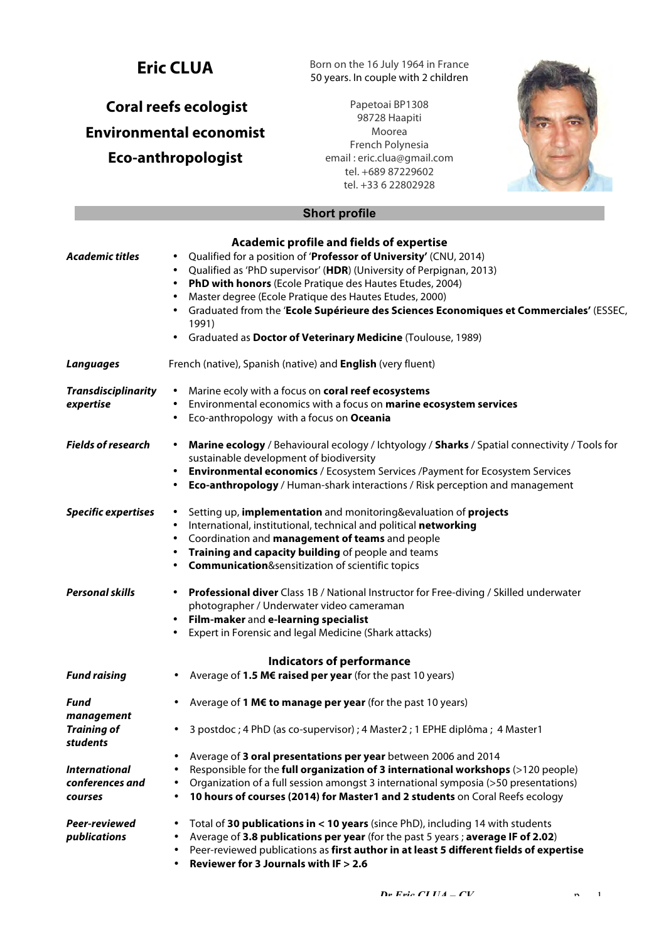# **Eric CLUA**

# **Coral reefs ecologist Environmental economist Eco-anthropologist**

Born on the 16 July 1964 in France 50 years. In couple with 2 children

Papetoai BP1308 98728 Haapiti Moorea French Polynesia email : eric.clua@gmail.com tel. +689 87229602 tel. +33 6 22802928



# **Short profile**

|                                | Academic profile and fields of expertise                                                                                                                                         |
|--------------------------------|----------------------------------------------------------------------------------------------------------------------------------------------------------------------------------|
| <b>Academic titles</b>         | Qualified for a position of 'Professor of University' (CNU, 2014)<br>٠                                                                                                           |
|                                | Qualified as 'PhD supervisor' (HDR) (University of Perpignan, 2013)<br>$\bullet$                                                                                                 |
|                                | PhD with honors (Ecole Pratique des Hautes Etudes, 2004)<br>٠                                                                                                                    |
|                                | Master degree (Ecole Pratique des Hautes Etudes, 2000)<br>$\bullet$                                                                                                              |
|                                | Graduated from the 'Ecole Supérieure des Sciences Economiques et Commerciales' (ESSEC,<br>٠                                                                                      |
|                                | 1991)                                                                                                                                                                            |
|                                | Graduated as Doctor of Veterinary Medicine (Toulouse, 1989)<br>٠                                                                                                                 |
| <b>Languages</b>               | French (native), Spanish (native) and English (very fluent)                                                                                                                      |
| <b>Transdisciplinarity</b>     | Marine ecoly with a focus on coral reef ecosystems<br>$\bullet$                                                                                                                  |
| expertise                      | Environmental economics with a focus on marine ecosystem services<br>$\bullet$                                                                                                   |
|                                | Eco-anthropology with a focus on Oceania<br>٠                                                                                                                                    |
| <b>Fields of research</b>      | Marine ecology / Behavioural ecology / Ichtyology / Sharks / Spatial connectivity / Tools for<br>$\bullet$                                                                       |
|                                | sustainable development of biodiversity<br>٠                                                                                                                                     |
|                                | <b>Environmental economics</b> / Ecosystem Services / Payment for Ecosystem Services<br><b>Eco-anthropology</b> / Human-shark interactions / Risk perception and management<br>٠ |
|                                |                                                                                                                                                                                  |
| <b>Specific expertises</b>     | Setting up, implementation and monitoring&evaluation of projects<br>$\bullet$                                                                                                    |
|                                | International, institutional, technical and political networking<br>$\bullet$                                                                                                    |
|                                | Coordination and management of teams and people<br>٠                                                                                                                             |
|                                | Training and capacity building of people and teams<br>٠                                                                                                                          |
|                                | <b>Communication</b> &sensitization of scientific topics<br>٠                                                                                                                    |
| <b>Personal skills</b>         | <b>Professional diver</b> Class 1B / National Instructor for Free-diving / Skilled underwater<br>٠                                                                               |
|                                | photographer / Underwater video cameraman                                                                                                                                        |
|                                | Film-maker and e-learning specialist<br>٠                                                                                                                                        |
|                                | Expert in Forensic and legal Medicine (Shark attacks)<br>٠                                                                                                                       |
|                                | <b>Indicators of performance</b>                                                                                                                                                 |
| <b>Fund raising</b>            | Average of 1.5 M€ raised per year (for the past 10 years)<br>٠                                                                                                                   |
| Fund                           | Average of 1 M€ to manage per year (for the past 10 years)<br>٠                                                                                                                  |
| management                     |                                                                                                                                                                                  |
| <b>Training of</b><br>students | 3 postdoc ; 4 PhD (as co-supervisor) ; 4 Master2 ; 1 EPHE diplôma ; 4 Master1                                                                                                    |
|                                | Average of 3 oral presentations per year between 2006 and 2014<br>$\bullet$                                                                                                      |
| <b>International</b>           | Responsible for the full organization of 3 international workshops (>120 people)<br>$\bullet$                                                                                    |
| conferences and                | Organization of a full session amongst 3 international symposia (>50 presentations)<br>٠                                                                                         |
| <b>courses</b>                 | 10 hours of courses (2014) for Master1 and 2 students on Coral Reefs ecology<br>$\bullet$                                                                                        |
| Peer-reviewed                  | Total of 30 publications in < 10 years (since PhD), including 14 with students<br>$\bullet$                                                                                      |
| publications                   | Average of 3.8 publications per year (for the past 5 years; average IF of 2.02)<br>٠                                                                                             |
|                                | Peer-reviewed publications as first author in at least 5 different fields of expertise<br>$\bullet$                                                                              |
|                                | Reviewer for 3 Journals with IF $> 2.6$<br>$\bullet$                                                                                                                             |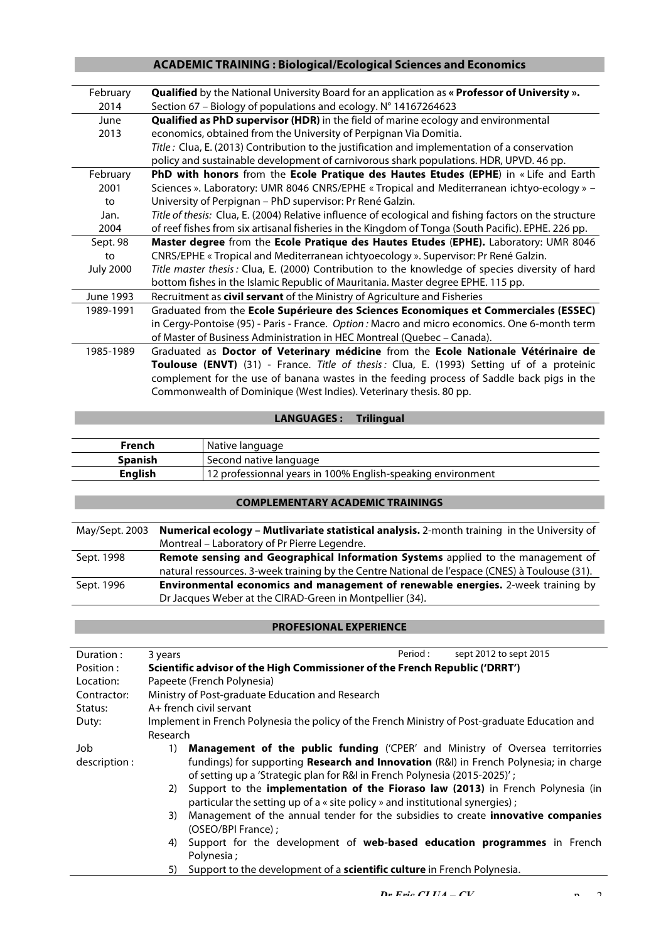# **ACADEMIC TRAINING : Biological/Ecological Sciences and Economics**

| February         | Qualified by the National University Board for an application as « Professor of University ».          |  |  |  |
|------------------|--------------------------------------------------------------------------------------------------------|--|--|--|
| 2014             | Section 67 - Biology of populations and ecology. N° 14167264623                                        |  |  |  |
| June             | <b>Qualified as PhD supervisor (HDR)</b> in the field of marine ecology and environmental              |  |  |  |
| 2013             | economics, obtained from the University of Perpignan Via Domitia.                                      |  |  |  |
|                  | Title: Clua, E. (2013) Contribution to the justification and implementation of a conservation          |  |  |  |
|                  | policy and sustainable development of carnivorous shark populations. HDR, UPVD. 46 pp.                 |  |  |  |
| February         | PhD with honors from the Ecole Pratique des Hautes Etudes (EPHE) in « Life and Earth                   |  |  |  |
| 2001             | Sciences ». Laboratory: UMR 8046 CNRS/EPHE « Tropical and Mediterranean ichtyo-ecology » -             |  |  |  |
| to               | University of Perpignan - PhD supervisor: Pr René Galzin.                                              |  |  |  |
| Jan.             | Title of thesis: Clua, E. (2004) Relative influence of ecological and fishing factors on the structure |  |  |  |
| 2004             | of reef fishes from six artisanal fisheries in the Kingdom of Tonga (South Pacific). EPHE. 226 pp.     |  |  |  |
| Sept. 98         | Master degree from the Ecole Pratique des Hautes Etudes (EPHE). Laboratory: UMR 8046                   |  |  |  |
| to               | CNRS/EPHE « Tropical and Mediterranean ichtyoecology ». Supervisor: Pr René Galzin.                    |  |  |  |
| <b>July 2000</b> | Title master thesis: Clua, E. (2000) Contribution to the knowledge of species diversity of hard        |  |  |  |
|                  | bottom fishes in the Islamic Republic of Mauritania. Master degree EPHE. 115 pp.                       |  |  |  |
| June 1993        | Recruitment as civil servant of the Ministry of Agriculture and Fisheries                              |  |  |  |
| 1989-1991        | Graduated from the Ecole Supérieure des Sciences Economiques et Commerciales (ESSEC)                   |  |  |  |
|                  | in Cergy-Pontoise (95) - Paris - France. Option: Macro and micro economics. One 6-month term           |  |  |  |
|                  | of Master of Business Administration in HEC Montreal (Quebec - Canada).                                |  |  |  |
| 1985-1989        | Graduated as Doctor of Veterinary médicine from the Ecole Nationale Vétérinaire de                     |  |  |  |
|                  | Toulouse (ENVT) (31) - France. Title of thesis: Clua, E. (1993) Setting uf of a proteinic              |  |  |  |
|                  | complement for the use of banana wastes in the feeding process of Saddle back pigs in the              |  |  |  |
|                  | Commonwealth of Dominique (West Indies). Veterinary thesis. 80 pp.                                     |  |  |  |

## **LANGUAGES : Trilingual**

| French         | Native language                                             |
|----------------|-------------------------------------------------------------|
| Spanish        | Second native language                                      |
| <b>English</b> | 12 professionnal years in 100% English-speaking environment |

# **COMPLEMENTARY ACADEMIC TRAININGS**

| <b>Numerical ecology – Mutlivariate statistical analysis.</b> 2-month training in the University of |  |  |
|-----------------------------------------------------------------------------------------------------|--|--|
| Montreal - Laboratory of Pr Pierre Legendre.                                                        |  |  |
| Remote sensing and Geographical Information Systems applied to the management of                    |  |  |
| natural ressources. 3-week training by the Centre National de l'espace (CNES) à Toulouse (31).      |  |  |
| Environmental economics and management of renewable energies. 2-week training by                    |  |  |
| Dr Jacques Weber at the CIRAD-Green in Montpellier (34).                                            |  |  |
|                                                                                                     |  |  |

#### **PROFESIONAL EXPERIENCE**

| Duration:     | Period :<br>sept 2012 to sept 2015<br>3 years                                                  |  |  |  |
|---------------|------------------------------------------------------------------------------------------------|--|--|--|
| Position:     | Scientific advisor of the High Commissioner of the French Republic ('DRRT')                    |  |  |  |
| Location:     | Papeete (French Polynesia)                                                                     |  |  |  |
| Contractor:   | Ministry of Post-graduate Education and Research                                               |  |  |  |
| Status:       | A+ french civil servant                                                                        |  |  |  |
| Duty:         | Implement in French Polynesia the policy of the French Ministry of Post-graduate Education and |  |  |  |
|               | Research                                                                                       |  |  |  |
| Job           | <b>Management of the public funding</b> ('CPER' and Ministry of Oversea territorries<br>1)     |  |  |  |
| description : | fundings) for supporting <b>Research and Innovation</b> (R&I) in French Polynesia; in charge   |  |  |  |
|               | of setting up a 'Strategic plan for R&I in French Polynesia (2015-2025)';                      |  |  |  |
|               | Support to the implementation of the Fioraso law (2013) in French Polynesia (in<br>2)          |  |  |  |
|               | particular the setting up of a « site policy » and institutional synergies);                   |  |  |  |
|               | Management of the annual tender for the subsidies to create <b>innovative companies</b><br>3)  |  |  |  |
|               | (OSEO/BPI France):                                                                             |  |  |  |
|               | Support for the development of web-based education programmes in French<br>4)                  |  |  |  |
|               | Polynesia;                                                                                     |  |  |  |
|               | Support to the development of a scientific culture in French Polynesia.<br>5)                  |  |  |  |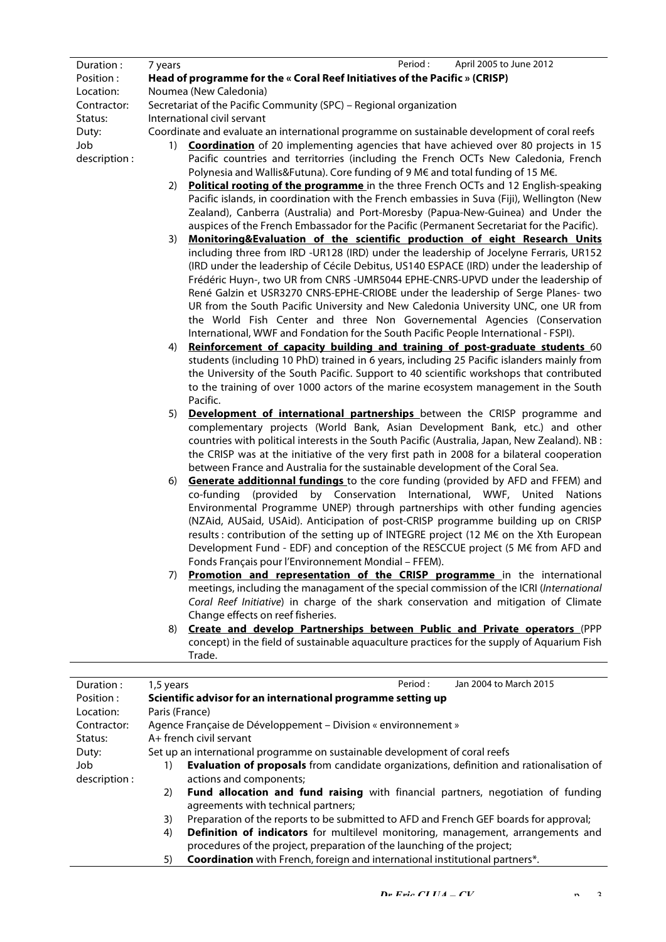| Duration:     | Period:<br>April 2005 to June 2012<br>7 years                                                 |  |  |
|---------------|-----------------------------------------------------------------------------------------------|--|--|
| Position:     | Head of programme for the « Coral Reef Initiatives of the Pacific » (CRISP)                   |  |  |
| Location:     | Noumea (New Caledonia)                                                                        |  |  |
| Contractor:   | Secretariat of the Pacific Community (SPC) - Regional organization                            |  |  |
| Status:       | International civil servant                                                                   |  |  |
| Duty:         | Coordinate and evaluate an international programme on sustainable development of coral reefs  |  |  |
| Job           | Coordination of 20 implementing agencies that have achieved over 80 projects in 15<br>1)      |  |  |
| description : | Pacific countries and territorries (including the French OCTs New Caledonia, French           |  |  |
|               | Polynesia and Wallis&Futuna). Core funding of 9 M€ and total funding of 15 M€.                |  |  |
|               | Political rooting of the programme in the three French OCTs and 12 English-speaking<br>2)     |  |  |
|               | Pacific islands, in coordination with the French embassies in Suva (Fiji), Wellington (New    |  |  |
|               | Zealand), Canberra (Australia) and Port-Moresby (Papua-New-Guinea) and Under the              |  |  |
|               | auspices of the French Embassador for the Pacific (Permanent Secretariat for the Pacific).    |  |  |
|               | Monitoring&Evaluation of the scientific production of eight Research Units<br>3)              |  |  |
|               | including three from IRD -UR128 (IRD) under the leadership of Jocelyne Ferraris, UR152        |  |  |
|               | (IRD under the leadership of Cécile Debitus, US140 ESPACE (IRD) under the leadership of       |  |  |
|               | Frédéric Huyn-, two UR from CNRS -UMR5044 EPHE-CNRS-UPVD under the leadership of              |  |  |
|               | René Galzin et USR3270 CNRS-EPHE-CRIOBE under the leadership of Serge Planes- two             |  |  |
|               | UR from the South Pacific University and New Caledonia University UNC, one UR from            |  |  |
|               | the World Fish Center and three Non Governemental Agencies (Conservation                      |  |  |
|               |                                                                                               |  |  |
|               | International, WWF and Fondation for the South Pacific People International - FSPI).          |  |  |
|               | Reinforcement of capacity building and training of post-graduate students 60<br>4)            |  |  |
|               | students (including 10 PhD) trained in 6 years, including 25 Pacific islanders mainly from    |  |  |
|               | the University of the South Pacific. Support to 40 scientific workshops that contributed      |  |  |
|               | to the training of over 1000 actors of the marine ecosystem management in the South           |  |  |
|               | Pacific.                                                                                      |  |  |
|               | Development of international partnerships between the CRISP programme and<br>5)               |  |  |
|               | complementary projects (World Bank, Asian Development Bank, etc.) and other                   |  |  |
|               | countries with political interests in the South Pacific (Australia, Japan, New Zealand). NB:  |  |  |
|               | the CRISP was at the initiative of the very first path in 2008 for a bilateral cooperation    |  |  |
|               | between France and Australia for the sustainable development of the Coral Sea.                |  |  |
|               | <b>Generate additionnal fundings</b> to the core funding (provided by AFD and FFEM) and<br>6) |  |  |
|               | co-funding (provided by Conservation International, WWF, United Nations                       |  |  |
|               | Environmental Programme UNEP) through partnerships with other funding agencies                |  |  |
|               | (NZAid, AUSaid, USAid). Anticipation of post-CRISP programme building up on CRISP             |  |  |
|               | results : contribution of the setting up of INTEGRE project (12 M€ on the Xth European        |  |  |
|               | Development Fund - EDF) and conception of the RESCCUE project (5 M€ from AFD and              |  |  |
|               | Fonds Français pour l'Environnement Mondial - FFEM).                                          |  |  |
|               | Promotion and representation of the CRISP programme in the international<br>7)                |  |  |
|               | meetings, including the managament of the special commission of the ICRI (International       |  |  |
|               | Coral Reef Initiative) in charge of the shark conservation and mitigation of Climate          |  |  |
|               | Change effects on reef fisheries.                                                             |  |  |
|               | Create and develop Partnerships between Public and Private operators (PPP<br>8)               |  |  |
|               | concept) in the field of sustainable aquaculture practices for the supply of Aquarium Fish    |  |  |
|               | Trade.                                                                                        |  |  |
|               |                                                                                               |  |  |
| Duration:     | Jan 2004 to March 2015<br>Period:<br>1,5 years                                                |  |  |
| Position:     | Scientific advisor for an international programme setting up                                  |  |  |
| Location:     | Paris (France)                                                                                |  |  |
| Contractor:   | Agence Française de Développement - Division « environnement »                                |  |  |
| Status:       | A+ french civil servant                                                                       |  |  |
| Duty:         | Set up an international programme on sustainable development of coral reefs                   |  |  |
| Job           | Evaluation of proposals from candidate organizations, definition and rationalisation of<br>1) |  |  |

actions and components;

description :

- 2) **Fund allocation and fund raising** with financial partners, negotiation of funding agreements with technical partners;
- 3) Preparation of the reports to be submitted to AFD and French GEF boards for approval;
- 4) **Definition of indicators** for multilevel monitoring, management, arrangements and procedures of the project, preparation of the launching of the project;
- 5) **Coordination** with French, foreign and international institutional partners\*.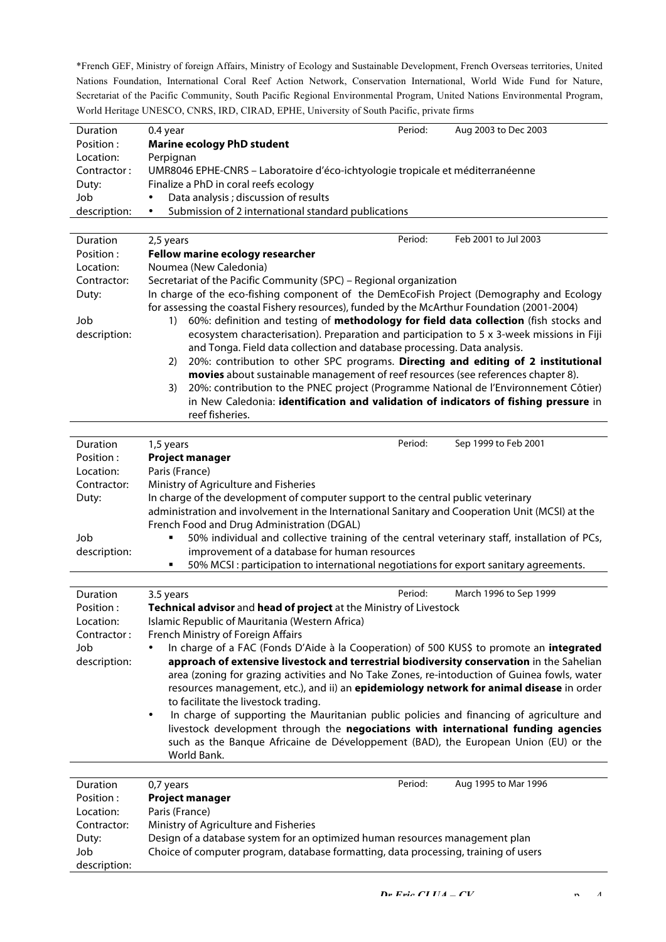\*French GEF, Ministry of foreign Affairs, Ministry of Ecology and Sustainable Development, French Overseas territories, United Nations Foundation, International Coral Reef Action Network, Conservation International, World Wide Fund for Nature, Secretariat of the Pacific Community, South Pacific Regional Environmental Program, United Nations Environmental Program, World Heritage UNESCO, CNRS, IRD, CIRAD, EPHE, University of South Pacific, private firms

| <b>Duration</b> | 0.4 year                                                                       | Period: | Aug 2003 to Dec 2003 |
|-----------------|--------------------------------------------------------------------------------|---------|----------------------|
| Position :      | <b>Marine ecology PhD student</b>                                              |         |                      |
| Location:       | Perpignan                                                                      |         |                      |
| Contractor:     | UMR8046 EPHE-CNRS - Laboratoire d'éco-ichtyologie tropicale et méditerranéenne |         |                      |
| Duty:           | Finalize a PhD in coral reefs ecology                                          |         |                      |
| Job             | Data analysis ; discussion of results                                          |         |                      |
| description:    | Submission of 2 international standard publications<br>٠                       |         |                      |
|                 |                                                                                |         |                      |

| Duration     | Feb 2001 to Jul 2003<br>Period:<br>2,5 years                                                          |  |  |
|--------------|-------------------------------------------------------------------------------------------------------|--|--|
| Position:    | Fellow marine ecology researcher                                                                      |  |  |
| Location:    | Noumea (New Caledonia)                                                                                |  |  |
| Contractor:  | Secretariat of the Pacific Community (SPC) - Regional organization                                    |  |  |
| Duty:        | In charge of the eco-fishing component of the DemEcoFish Project (Demography and Ecology              |  |  |
|              | for assessing the coastal Fishery resources), funded by the McArthur Foundation (2001-2004)           |  |  |
| Job          | 60%: definition and testing of methodology for field data collection (fish stocks and<br>1)           |  |  |
| description: | ecosystem characterisation). Preparation and participation to 5 x 3-week missions in Fiji             |  |  |
|              | and Tonga. Field data collection and database processing. Data analysis.                              |  |  |
|              | 20%: contribution to other SPC programs. Directing and editing of 2 institutional<br>2)               |  |  |
|              | movies about sustainable management of reef resources (see references chapter 8).                     |  |  |
|              | 20%: contribution to the PNEC project (Programme National de l'Environnement Côtier)<br>3)            |  |  |
|              | in New Caledonia: identification and validation of indicators of fishing pressure in                  |  |  |
|              | reef fisheries.                                                                                       |  |  |
|              |                                                                                                       |  |  |
| Duration     | Period:<br>Sep 1999 to Feb 2001                                                                       |  |  |
|              | 1,5 years                                                                                             |  |  |
| Position:    | <b>Project manager</b>                                                                                |  |  |
| Location:    | Paris (France)                                                                                        |  |  |
| Contractor:  | Ministry of Agriculture and Fisheries                                                                 |  |  |
| Duty:        | In charge of the development of computer support to the central public veterinary                     |  |  |
|              | administration and involvement in the International Sanitary and Cooperation Unit (MCSI) at the       |  |  |
|              | French Food and Drug Administration (DGAL)                                                            |  |  |
| Job          | 50% individual and collective training of the central veterinary staff, installation of PCs,          |  |  |
| description: | improvement of a database for human resources                                                         |  |  |
|              | 50% MCSI: participation to international negotiations for export sanitary agreements.                 |  |  |
|              |                                                                                                       |  |  |
| Duration     | Period:<br>March 1996 to Sep 1999<br>3.5 years                                                        |  |  |
| Position:    | Technical advisor and head of project at the Ministry of Livestock                                    |  |  |
| Location:    | Islamic Republic of Mauritania (Western Africa)                                                       |  |  |
| Contractor:  | French Ministry of Foreign Affairs                                                                    |  |  |
| Job          | In charge of a FAC (Fonds D'Aide à la Cooperation) of 500 KUS\$ to promote an integrated              |  |  |
| description: | approach of extensive livestock and terrestrial biodiversity conservation in the Sahelian             |  |  |
|              | area (zoning for grazing activities and No Take Zones, re-intoduction of Guinea fowls, water          |  |  |
|              | resources management, etc.), and ii) an epidemiology network for animal disease in order              |  |  |
|              | to facilitate the livestock trading.                                                                  |  |  |
|              | In charge of supporting the Mauritanian public policies and financing of agriculture and<br>$\bullet$ |  |  |
|              | livestock development through the <b>negociations with international funding agencies</b>             |  |  |
|              | such as the Banque Africaine de Développement (BAD), the European Union (EU) or the                   |  |  |
|              | World Bank.                                                                                           |  |  |
|              |                                                                                                       |  |  |
| Duration     | Period:<br>Aug 1995 to Mar 1996<br>0,7 years                                                          |  |  |
| Position:    | <b>Project manager</b>                                                                                |  |  |
| Location:    | Paris (France)                                                                                        |  |  |
| Contractor:  | Ministry of Agriculture and Fisheries                                                                 |  |  |
| Duty:        | Design of a database system for an optimized human resources management plan                          |  |  |
| Job          | Choice of computer program, database formatting, data processing, training of users                   |  |  |
| description: |                                                                                                       |  |  |
|              |                                                                                                       |  |  |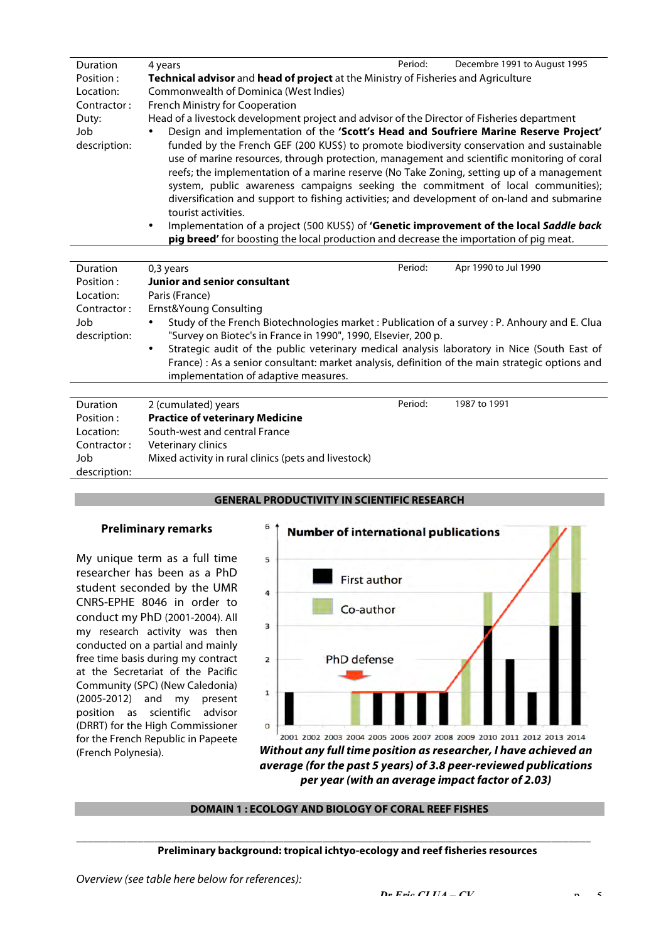| <b>Duration</b> | 4 years                                                                                               | Period: | Decembre 1991 to August 1995 |
|-----------------|-------------------------------------------------------------------------------------------------------|---------|------------------------------|
| Position:       | Technical advisor and head of project at the Ministry of Fisheries and Agriculture                    |         |                              |
| Location:       | Commonwealth of Dominica (West Indies)                                                                |         |                              |
| Contractor:     | French Ministry for Cooperation                                                                       |         |                              |
| Duty:           | Head of a livestock development project and advisor of the Director of Fisheries department           |         |                              |
| Job             | Design and implementation of the 'Scott's Head and Soufriere Marine Reserve Project'                  |         |                              |
| description:    | funded by the French GEF (200 KUS\$) to promote biodiversity conservation and sustainable             |         |                              |
|                 | use of marine resources, through protection, management and scientific monitoring of coral            |         |                              |
|                 | reefs; the implementation of a marine reserve (No Take Zoning, setting up of a management             |         |                              |
|                 | system, public awareness campaigns seeking the commitment of local communities);                      |         |                              |
|                 | diversification and support to fishing activities; and development of on-land and submarine           |         |                              |
|                 | tourist activities.                                                                                   |         |                              |
|                 | Implementation of a project (500 KUS\$) of 'Genetic improvement of the local Saddle back<br>$\bullet$ |         |                              |

**pig breed'** for boosting the local production and decrease the importation of pig meat.

| <b>Duration</b> | 0,3 years                                                                                                | Period: | Apr 1990 to Jul 1990 |
|-----------------|----------------------------------------------------------------------------------------------------------|---------|----------------------|
| Position :      | Junior and senior consultant                                                                             |         |                      |
| Location:       | Paris (France)                                                                                           |         |                      |
| Contractor:     | Ernst&Young Consulting                                                                                   |         |                      |
| Job             | Study of the French Biotechnologies market : Publication of a survey : P. Anhoury and E. Clua            |         |                      |
| description:    | "Survey on Biotec's in France in 1990", 1990, Elsevier, 200 p.                                           |         |                      |
|                 | Strategic audit of the public veterinary medical analysis laboratory in Nice (South East of<br>$\bullet$ |         |                      |
|                 | France) : As a senior consultant: market analysis, definition of the main strategic options and          |         |                      |
|                 | implementation of adaptive measures.                                                                     |         |                      |
|                 |                                                                                                          |         |                      |
| Duration        | 2 (cumulated) years                                                                                      | Period: | 1987 to 1991         |
| Position:       | <b>Practice of veterinary Medicine</b>                                                                   |         |                      |
| Location:       | South-west and central France                                                                            |         |                      |
| Contractor:     | Veterinary clinics                                                                                       |         |                      |
| Job             | Mixed activity in rural clinics (pets and livestock)                                                     |         |                      |
| description:    |                                                                                                          |         |                      |

#### **GENERAL PRODUCTIVITY IN SCIENTIFIC RESEARCH**

#### **Preliminary remarks**

My unique term as a full time researcher has been as a PhD student seconded by the UMR CNRS-EPHE 8046 in order to conduct my PhD (2001-2004). All my research activity was then conducted on a partial and mainly free time basis during my contract at the Secretariat of the Pacific Community (SPC) (New Caledonia) (2005-2012) and my present position as scientific advisor (DRRT) for the High Commissioner for the French Republic in Papeete



#### **DOMAIN 1 : ECOLOGY AND BIOLOGY OF CORAL REEF FISHES**

\_\_\_\_\_\_\_\_\_\_\_\_\_\_\_\_\_\_\_\_\_\_\_\_\_\_\_\_\_\_\_\_\_\_\_\_\_\_\_\_\_\_\_\_\_\_\_\_\_\_\_\_\_\_\_\_\_\_\_\_\_\_\_\_\_\_\_\_\_\_\_\_\_\_\_\_\_\_\_\_\_\_\_\_\_\_\_\_\_\_\_\_

#### **Preliminary background: tropical ichtyo-ecology and reef fisheries resources**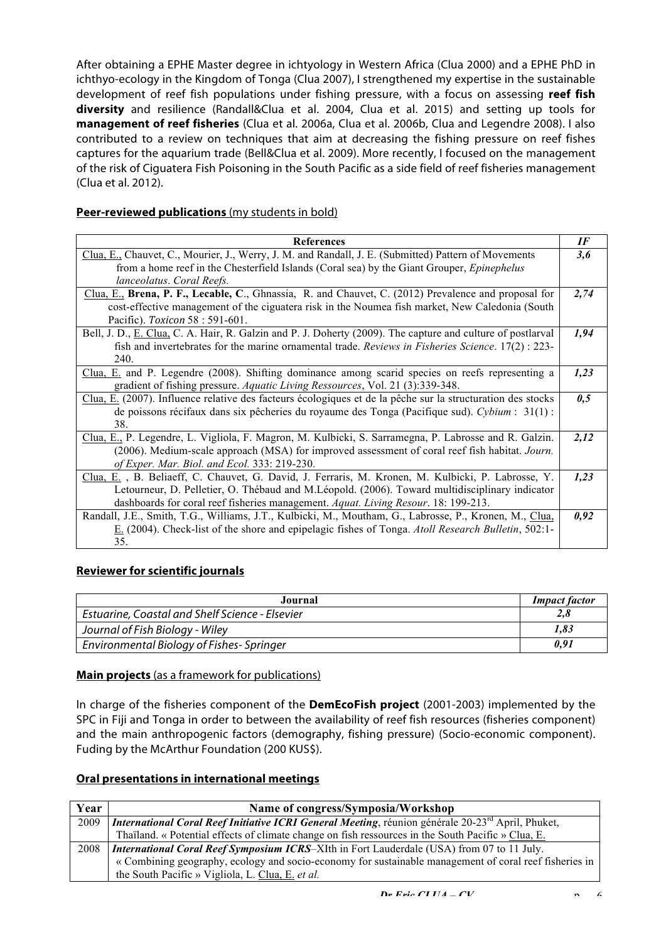After obtaining a EPHE Master degree in ichtyology in Western Africa (Clua 2000) and a EPHE PhD in ichthyo-ecology in the Kingdom of Tonga (Clua 2007), I strengthened my expertise in the sustainable development of reef fish populations under fishing pressure, with a focus on assessing **reef fish diversity** and resilience (Randall&Clua et al. 2004, Clua et al. 2015) and setting up tools for **management of reef fisheries** (Clua et al. 2006a, Clua et al. 2006b, Clua and Legendre 2008). I also contributed to a review on techniques that aim at decreasing the fishing pressure on reef fishes captures for the aquarium trade (Bell&Clua et al. 2009). More recently, I focused on the management of the risk of Ciguatera Fish Poisoning in the South Pacific as a side field of reef fisheries management (Clua et al. 2012).

## **Peer-reviewed publications** (my students in bold)

| <b>References</b>                                                                                           | IF   |  |
|-------------------------------------------------------------------------------------------------------------|------|--|
| Clua, E., Chauvet, C., Mourier, J., Werry, J. M. and Randall, J. E. (Submitted) Pattern of Movements        |      |  |
| from a home reef in the Chesterfield Islands (Coral sea) by the Giant Grouper, <i>Epinephelus</i>           |      |  |
| lanceolatus. Coral Reefs.                                                                                   |      |  |
| Clua, E., Brena, P. F., Lecable, C., Ghnassia, R. and Chauvet, C. (2012) Prevalence and proposal for        | 2,74 |  |
| cost-effective management of the ciguatera risk in the Noumea fish market, New Caledonia (South             |      |  |
| Pacific). Toxicon 58 : 591-601.                                                                             |      |  |
| Bell, J. D., E. Clua, C. A. Hair, R. Galzin and P. J. Doherty (2009). The capture and culture of postlarval | 1,94 |  |
| fish and invertebrates for the marine ornamental trade. Reviews in Fisheries Science. $17(2)$ : 223-        |      |  |
| 240.                                                                                                        |      |  |
| Clua, E. and P. Legendre (2008). Shifting dominance among scarid species on reefs representing a            | 1,23 |  |
| gradient of fishing pressure. Aquatic Living Ressources, Vol. 21 (3):339-348.                               |      |  |
| Clua, E. (2007). Influence relative des facteurs écologiques et de la pêche sur la structuration des stocks |      |  |
| de poissons récifaux dans six pêcheries du royaume des Tonga (Pacifique sud). Cybium : $31(1)$ :            |      |  |
| 38.                                                                                                         |      |  |
| Clua, E., P. Legendre, L. Vigliola, F. Magron, M. Kulbicki, S. Sarramegna, P. Labrosse and R. Galzin.       | 2,12 |  |
| (2006). Medium-scale approach (MSA) for improved assessment of coral reef fish habitat. Journ.              |      |  |
| of Exper. Mar. Biol. and Ecol. 333: 219-230.                                                                |      |  |
| Clua, E., B. Beliaeff, C. Chauvet, G. David, J. Ferraris, M. Kronen, M. Kulbicki, P. Labrosse, Y.           | 1,23 |  |
| Letourneur, D. Pelletier, O. Thébaud and M. Léopold. (2006). Toward multidisciplinary indicator             |      |  |
| dashboards for coral reef fisheries management. Aquat. Living Resour. 18: 199-213.                          |      |  |
| Randall, J.E., Smith, T.G., Williams, J.T., Kulbicki, M., Moutham, G., Labrosse, P., Kronen, M., Clua,      |      |  |
| E. (2004). Check-list of the shore and epipelagic fishes of Tonga. Atoll Research Bulletin, 502:1-          |      |  |
| 35.                                                                                                         |      |  |

# **Reviewer for scientific journals**

| Journal                                         | <b>Impact factor</b> |
|-------------------------------------------------|----------------------|
| Estuarine, Coastal and Shelf Science - Elsevier | 2,8                  |
| Journal of Fish Biology - Wiley                 | 1,83                 |
| Environmental Biology of Fishes-Springer        | 0,91                 |

# **Main projects** (as a framework for publications)

In charge of the fisheries component of the **DemEcoFish project** (2001-2003) implemented by the SPC in Fiji and Tonga in order to between the availability of reef fish resources (fisheries component) and the main anthropogenic factors (demography, fishing pressure) (Socio-economic component). Fuding by the McArthur Foundation (200 KUS\$).

# **Oral presentations in international meetings**

| Year | Name of congress/Symposia/Workshop                                                                                  |
|------|---------------------------------------------------------------------------------------------------------------------|
| 2009 | <i>International Coral Reef Initiative ICRI General Meeting, réunion générale 20-23<sup>rd</sup> April, Phuket,</i> |
|      | Thaïland. « Potential effects of climate change on fish ressources in the South Pacific » Clua, E.                  |
| 2008 | <i>International Coral Reef Symposium ICRS-XIth in Fort Lauderdale (USA) from 07 to 11 July.</i>                    |
|      | « Combining geography, ecology and socio-economy for sustainable management of coral reef fisheries in              |
|      | the South Pacific » Vigliola, L. Clua, E. et al.                                                                    |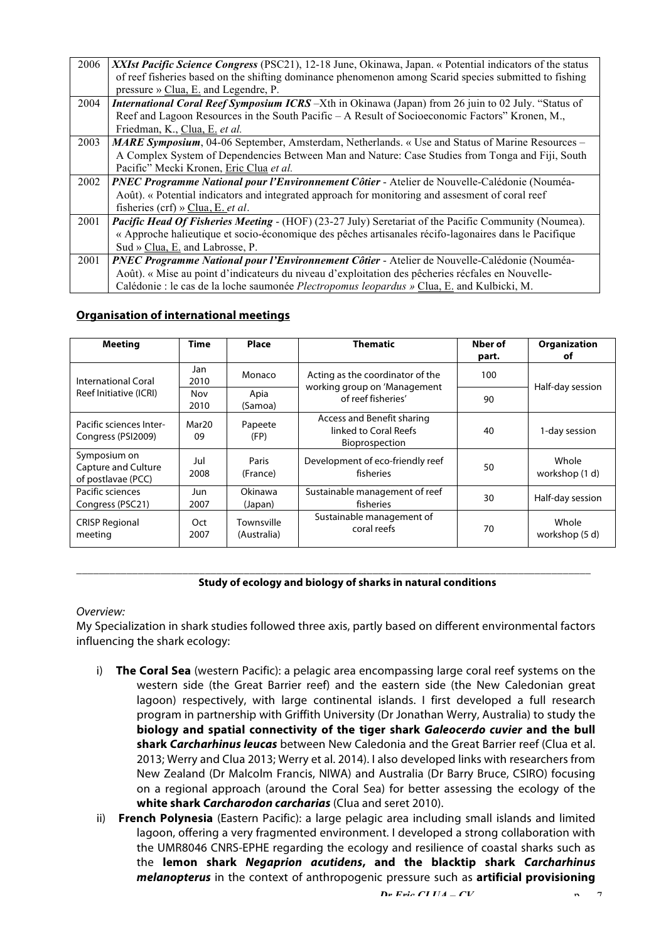| 2006 | XXIst Pacific Science Congress (PSC21), 12-18 June, Okinawa, Japan. « Potential indicators of the status<br>of reef fisheries based on the shifting dominance phenomenon among Scarid species submitted to fishing |
|------|--------------------------------------------------------------------------------------------------------------------------------------------------------------------------------------------------------------------|
|      |                                                                                                                                                                                                                    |
|      | pressure » Clua, E. and Legendre, P.                                                                                                                                                                               |
| 2004 | International Coral Reef Symposium ICRS -Xth in Okinawa (Japan) from 26 juin to 02 July. "Status of                                                                                                                |
|      | Reef and Lagoon Resources in the South Pacific – A Result of Socioeconomic Factors" Kronen, M.,                                                                                                                    |
|      | Friedman, K., Clua, E. et al.                                                                                                                                                                                      |
| 2003 | <b>MARE Symposium</b> , 04-06 September, Amsterdam, Netherlands. « Use and Status of Marine Resources –                                                                                                            |
|      | A Complex System of Dependencies Between Man and Nature: Case Studies from Tonga and Fiji, South                                                                                                                   |
|      | Pacific" Mecki Kronen, Eric Clua et al.                                                                                                                                                                            |
| 2002 | PNEC Programme National pour l'Environnement Côtier - Atelier de Nouvelle-Calédonie (Nouméa-                                                                                                                       |
|      | Août). « Potential indicators and integrated approach for monitoring and assessment of coral reef                                                                                                                  |
|      | fisheries (crf) » Clua, E. et al.                                                                                                                                                                                  |
| 2001 | Pacific Head Of Fisheries Meeting - (HOF) (23-27 July) Seretariat of the Pacific Community (Noumea).                                                                                                               |
|      | « Approche halieutique et socio-économique des pêches artisanales récifo-lagonaires dans le Pacifique                                                                                                              |
|      | Sud » Clua, E. and Labrosse, P.                                                                                                                                                                                    |
| 2001 | PNEC Programme National pour l'Environnement Côtier - Atelier de Nouvelle-Calédonie (Nouméa-                                                                                                                       |
|      | Août). « Mise au point d'indicateurs du niveau d'exploitation des pêcheries récfales en Nouvelle-                                                                                                                  |
|      | Calédonie : le cas de la loche saumonée Plectropomus leopardus » Clua, E. and Kulbicki, M.                                                                                                                         |

#### **Organisation of international meetings**

| <b>Meeting</b>                                                   | <b>Time</b> | Place                     | <b>Thematic</b>                                                       | Nber of<br>part. | Organization<br>οt      |
|------------------------------------------------------------------|-------------|---------------------------|-----------------------------------------------------------------------|------------------|-------------------------|
| <b>International Coral</b>                                       | Jan<br>2010 | Monaco                    | Acting as the coordinator of the                                      | 100              |                         |
| Reef Initiative (ICRI)                                           | Nov<br>2010 | Apia<br>(Samoa)           | working group on 'Management<br>of reef fisheries'                    | 90               | Half-day session        |
| Pacific sciences Inter-<br>Congress (PSI2009)                    | Mar20<br>09 | Papeete<br>(FP)           | Access and Benefit sharing<br>linked to Coral Reefs<br>Bioprospection | 40               | 1-day session           |
| Symposium on<br><b>Capture and Culture</b><br>of postlavae (PCC) | Jul<br>2008 | Paris<br>(France)         | Development of eco-friendly reef<br>fisheries                         | 50               | Whole<br>workshop (1 d) |
| Pacific sciences<br>Congress (PSC21)                             | Jun<br>2007 | Okinawa<br>(Japan)        | Sustainable management of reef<br>fisheries                           | 30               | Half-day session        |
| <b>CRISP Regional</b><br>meeting                                 | Oct<br>2007 | Townsville<br>(Australia) | Sustainable management of<br>coral reefs                              | 70               | Whole<br>workshop (5 d) |

#### **Study of ecology and biology of sharks in natural conditions**

#### *Overview:*

My Specialization in shark studies followed three axis, partly based on different environmental factors influencing the shark ecology:

\_\_\_\_\_\_\_\_\_\_\_\_\_\_\_\_\_\_\_\_\_\_\_\_\_\_\_\_\_\_\_\_\_\_\_\_\_\_\_\_\_\_\_\_\_\_\_\_\_\_\_\_\_\_\_\_\_\_\_\_\_\_\_\_\_\_\_\_\_\_\_\_\_\_\_\_\_\_\_\_\_\_\_\_\_\_\_\_\_\_\_\_

- i) **The Coral Sea** (western Pacific): a pelagic area encompassing large coral reef systems on the western side (the Great Barrier reef) and the eastern side (the New Caledonian great lagoon) respectively, with large continental islands. I first developed a full research program in partnership with Griffith University (Dr Jonathan Werry, Australia) to study the **biology and spatial connectivity of the tiger shark** *Galeocerdo cuvier* **and the bull shark** *Carcharhinus leucas* between New Caledonia and the Great Barrier reef (Clua et al. 2013; Werry and Clua 2013; Werry et al. 2014). I also developed links with researchers from New Zealand (Dr Malcolm Francis, NIWA) and Australia (Dr Barry Bruce, CSIRO) focusing on a regional approach (around the Coral Sea) for better assessing the ecology of the **white shark** *Carcharodon carcharias* (Clua and seret 2010).
- ii) **French Polynesia** (Eastern Pacific): a large pelagic area including small islands and limited lagoon, offering a very fragmented environment. I developed a strong collaboration with the UMR8046 CNRS-EPHE regarding the ecology and resilience of coastal sharks such as the **lemon shark** *Negaprion acutidens***, and the blacktip shark** *Carcharhinus melanopterus* in the context of anthropogenic pressure such as **artificial provisioning**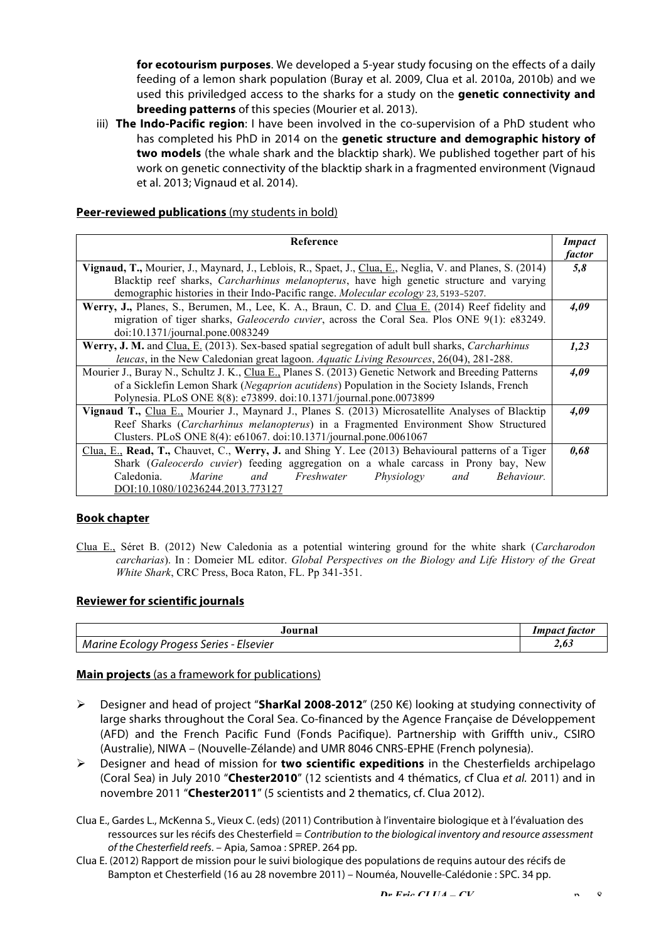**for ecotourism purposes**. We developed a 5-year study focusing on the effects of a daily feeding of a lemon shark population (Buray et al. 2009, Clua et al. 2010a, 2010b) and we used this priviledged access to the sharks for a study on the **genetic connectivity and breeding patterns** of this species (Mourier et al. 2013).

iii) **The Indo-Pacific region**: I have been involved in the co-supervision of a PhD student who has completed his PhD in 2014 on the **genetic structure and demographic history of two models** (the whale shark and the blacktip shark). We published together part of his work on genetic connectivity of the blacktip shark in a fragmented environment (Vignaud et al. 2013; Vignaud et al. 2014).

## **Peer-reviewed publications** (my students in bold)

| <b>Reference</b>                                                                                          | Impact |
|-----------------------------------------------------------------------------------------------------------|--------|
|                                                                                                           | factor |
| Vignaud, T., Mourier, J., Maynard, J., Leblois, R., Spaet, J., Clua, E., Neglia, V. and Planes, S. (2014) | 5,8    |
| Blacktip reef sharks, <i>Carcharhinus melanopterus</i> , have high genetic structure and varying          |        |
| demographic histories in their Indo-Pacific range. Molecular ecology 23, 5193-5207.                       |        |
| Werry, J., Planes, S., Berumen, M., Lee, K. A., Braun, C. D. and Clua E. (2014) Reef fidelity and         | 4,09   |
| migration of tiger sharks, Galeocerdo cuvier, across the Coral Sea. Plos ONE 9(1): e83249.                |        |
| doi:10.1371/journal.pone.0083249                                                                          |        |
| Werry, J. M. and Clua, E. (2013). Sex-based spatial segregation of adult bull sharks, Carcharhinus        | 1,23   |
| leucas, in the New Caledonian great lagoon. Aquatic Living Resources, 26(04), 281-288.                    |        |
| Mourier J., Buray N., Schultz J. K., Clua E., Planes S. (2013) Genetic Network and Breeding Patterns      | 4,09   |
| of a Sicklefin Lemon Shark (Negaprion acutidens) Population in the Society Islands, French                |        |
| Polynesia. PLoS ONE 8(8): e73899. doi:10.1371/journal.pone.0073899                                        |        |
| Vignaud T., Clua E., Mourier J., Maynard J., Planes S. (2013) Microsatellite Analyses of Blacktip         | 4,09   |
| Reef Sharks (Carcharhinus melanopterus) in a Fragmented Environment Show Structured                       |        |
| Clusters. PLoS ONE 8(4): e61067. doi:10.1371/journal.pone.0061067                                         |        |
| Clua, E., Read, T., Chauvet, C., Werry, J. and Shing Y. Lee (2013) Behavioural patterns of a Tiger        | 0.68   |
| Shark (Galeocerdo cuvier) feeding aggregation on a whale carcass in Prony bay, New                        |        |
| Marine<br>and Freshwater Physiology<br>Caledonia.<br>Behaviour.<br>and                                    |        |
| DOI:10.1080/10236244.2013.773127                                                                          |        |

#### **Book chapter**

Clua E., Séret B. (2012) New Caledonia as a potential wintering ground for the white shark (*Carcharodon carcharias*). In : Domeier ML editor. *Global Perspectives on the Biology and Life History of the Great White Shark*, CRC Press, Boca Raton, FL. Pp 341-351.

#### **Reviewer for scientific journals**

| ourna                                              | tactor<br>Impact |
|----------------------------------------------------|------------------|
| , Series - Elsevier<br>Marine<br>: Ecoloav Proaess | 4,0J             |

#### **Main projects** (as a framework for publications)

- " Designer and head of project "**SharKal 2008-2012**" (250 K€) looking at studying connectivity of large sharks throughout the Coral Sea. Co-financed by the Agence Française de Développement (AFD) and the French Pacific Fund (Fonds Pacifique). Partnership with Griffth univ., CSIRO (Australie), NIWA – (Nouvelle-Zélande) and UMR 8046 CNRS-EPHE (French polynesia).
- $\triangleright$  Designer and head of mission for **two scientific expeditions** in the Chesterfields archipelago (Coral Sea) in July 2010 "**Chester2010**" (12 scientists and 4 thématics, cf Clua *et al.* 2011) and in novembre 2011 "**Chester2011**" (5 scientists and 2 thematics, cf. Clua 2012).
- Clua E., Gardes L., McKenna S., Vieux C. (eds) (2011) Contribution à l'inventaire biologique et à l'évaluation des ressources sur les récifs des Chesterfield = *Contribution to the biological inventory and resource assessment of the Chesterfield reefs*. – Apia, Samoa : SPREP. 264 pp.
- Clua E. (2012) Rapport de mission pour le suivi biologique des populations de requins autour des récifs de Bampton et Chesterfield (16 au 28 novembre 2011) – Nouméa, Nouvelle-Calédonie : SPC. 34 pp.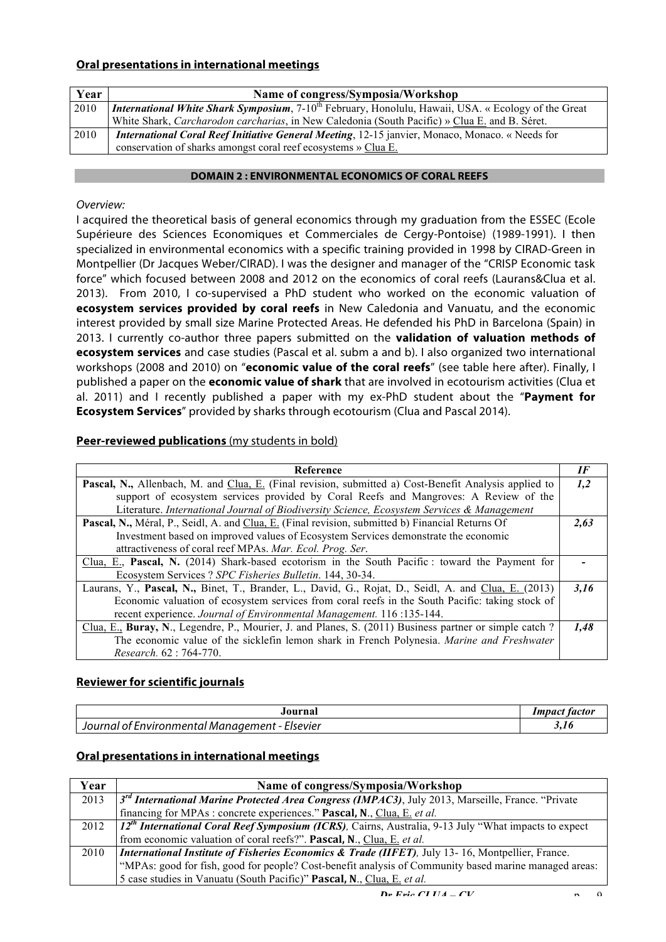# **Oral presentations in international meetings**

| Year | Name of congress/Symposia/Workshop                                                                                      |
|------|-------------------------------------------------------------------------------------------------------------------------|
| 2010 | <i>International White Shark Symposium</i> , 7-10 <sup>th</sup> February, Honolulu, Hawaii, USA. « Ecology of the Great |
|      | White Shark, <i>Carcharodon carcharias</i> , in New Caledonia (South Pacific) » Clua E, and B. Séret.                   |
| 2010 | <b>International Coral Reef Initiative General Meeting</b> , 12-15 janvier, Monaco, Monaco. « Needs for                 |
|      | conservation of sharks amongst coral reef ecosystems » Clua E.                                                          |

#### **DOMAIN 2 : ENVIRONMENTAL ECONOMICS OF CORAL REEFS**

## *Overview:*

I acquired the theoretical basis of general economics through my graduation from the ESSEC (Ecole Supérieure des Sciences Economiques et Commerciales de Cergy-Pontoise) (1989-1991). I then specialized in environmental economics with a specific training provided in 1998 by CIRAD-Green in Montpellier (Dr Jacques Weber/CIRAD). I was the designer and manager of the "CRISP Economic task force" which focused between 2008 and 2012 on the economics of coral reefs (Laurans&Clua et al. 2013). From 2010, I co-supervised a PhD student who worked on the economic valuation of **ecosystem services provided by coral reefs** in New Caledonia and Vanuatu, and the economic interest provided by small size Marine Protected Areas. He defended his PhD in Barcelona (Spain) in 2013. I currently co-author three papers submitted on the **validation of valuation methods of ecosystem services** and case studies (Pascal et al. subm a and b). I also organized two international workshops (2008 and 2010) on "**economic value of the coral reefs**" (see table here after). Finally, I published a paper on the **economic value of shark** that are involved in ecotourism activities (Clua et al. 2011) and I recently published a paper with my ex-PhD student about the "**Payment for Ecosystem Services**" provided by sharks through ecotourism (Clua and Pascal 2014).

## **Peer-reviewed publications** (my students in bold)

| Reference                                                                                              | IF   |
|--------------------------------------------------------------------------------------------------------|------|
| Pascal, N., Allenbach, M. and Clua, E. (Final revision, submitted a) Cost-Benefit Analysis applied to  | 1,2  |
| support of ecosystem services provided by Coral Reefs and Mangroves: A Review of the                   |      |
| Literature. International Journal of Biodiversity Science, Ecosystem Services & Management             |      |
| Pascal, N., Méral, P., Seidl, A. and Clua, E. (Final revision, submitted b) Financial Returns Of       | 2,63 |
| Investment based on improved values of Ecosystem Services demonstrate the economic                     |      |
| attractiveness of coral reef MPAs. Mar. Ecol. Prog. Ser.                                               |      |
| Clua, E., Pascal, N. (2014) Shark-based ecotorism in the South Pacific: toward the Payment for         |      |
| Ecosystem Services ? SPC Fisheries Bulletin. 144, 30-34.                                               |      |
| Laurans, Y., Pascal, N., Binet, T., Brander, L., David, G., Rojat, D., Seidl, A. and Clua, E. (2013)   | 3,16 |
| Economic valuation of ecosystem services from coral reefs in the South Pacific: taking stock of        |      |
| recent experience. Journal of Environmental Management. 116 :135-144.                                  |      |
| Clua, E., Buray, N., Legendre, P., Mourier, J. and Planes, S. (2011) Business partner or simple catch? | 1,48 |
| The economic value of the sicklefin lemon shark in French Polynesia. Marine and Freshwater             |      |
| Research. 62: 764-770.                                                                                 |      |

#### **Reviewer for scientific journals**

| Journal                                        | Impact factor |
|------------------------------------------------|---------------|
| Journal of Environmental Management - Elsevier | $J$ , $Ib$    |

## **Oral presentations in international meetings**

| Year | Name of congress/Symposia/Workshop                                                                            |
|------|---------------------------------------------------------------------------------------------------------------|
| 2013 | 3 <sup>rd</sup> International Marine Protected Area Congress (IMPAC3), July 2013, Marseille, France. "Private |
|      | financing for MPAs : concrete experiences." Pascal, N., Clua, E. et al.                                       |
| 2012 | $12th International Coral Reef Symposium (ICRS), Cairns, Australia, 9-13 July "What impacts to expect)$       |
|      | from economic valuation of coral reefs?". Pascal, N., Clua, E. et al.                                         |
| 2010 | <b>International Institute of Fisheries Economics &amp; Trade (IIFET)</b> , July 13-16, Montpellier, France.  |
|      | "MPAs: good for fish, good for people? Cost-benefit analysis of Community based marine managed areas:         |
|      | 5 case studies in Vanuatu (South Pacific)" Pascal, N., Clua, E. et al.                                        |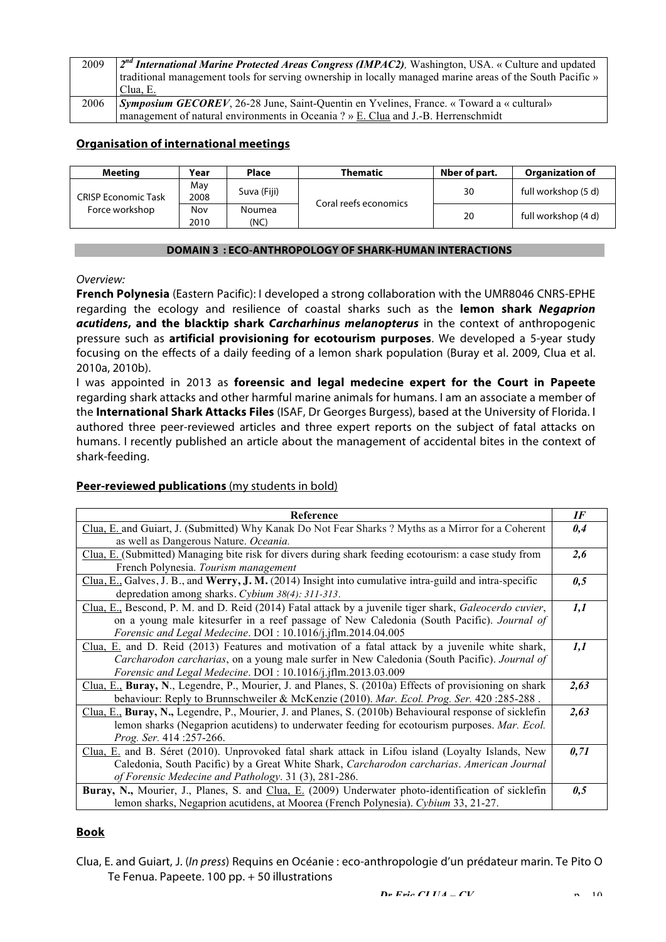| 2009 | $2^{nd}$ International Marine Protected Areas Congress (IMPAC2), Washington, USA. « Culture and updated<br>traditional management tools for serving ownership in locally managed marine areas of the South Pacific » |
|------|----------------------------------------------------------------------------------------------------------------------------------------------------------------------------------------------------------------------|
|      | Clua, E.                                                                                                                                                                                                             |
| 2006 | Symposium GECOREV, 26-28 June, Saint-Quentin en Yvelines, France. « Toward a « cultural»                                                                                                                             |
|      | management of natural environments in Oceania ? » E. Clua and J.-B. Herrenschmidt                                                                                                                                    |

# **Organisation of international meetings**

| Meetina                    | Year        | <b>Place</b>   | <b>Thematic</b>       | Nber of part. | <b>Organization of</b> |
|----------------------------|-------------|----------------|-----------------------|---------------|------------------------|
| <b>CRISP Economic Task</b> | May<br>2008 | Suva (Fiji)    | Coral reefs economics | 30            | full workshop (5 d)    |
| Force workshop             | Nov<br>2010 | Noumea<br>(NC) |                       | 20            | full workshop (4 d)    |

#### **DOMAIN 3 : ECO-ANTHROPOLOGY OF SHARK-HUMAN INTERACTIONS**

#### *Overview:*

**French Polynesia** (Eastern Pacific): I developed a strong collaboration with the UMR8046 CNRS-EPHE regarding the ecology and resilience of coastal sharks such as the **lemon shark** *Negaprion acutidens***, and the blacktip shark** *Carcharhinus melanopterus* in the context of anthropogenic pressure such as **artificial provisioning for ecotourism purposes**. We developed a 5-year study focusing on the effects of a daily feeding of a lemon shark population (Buray et al. 2009, Clua et al. 2010a, 2010b).

I was appointed in 2013 as **foreensic and legal medecine expert for the Court in Papeete**  regarding shark attacks and other harmful marine animals for humans. I am an associate a member of the **International Shark Attacks Files** (ISAF, Dr Georges Burgess), based at the University of Florida. I authored three peer-reviewed articles and three expert reports on the subject of fatal attacks on humans. I recently published an article about the management of accidental bites in the context of shark-feeding.

# **Peer-reviewed publications** (my students in bold)

| Reference                                                                                               | IF   |
|---------------------------------------------------------------------------------------------------------|------|
| Clua, E. and Guiart, J. (Submitted) Why Kanak Do Not Fear Sharks ? Myths as a Mirror for a Coherent     | 0,4  |
|                                                                                                         |      |
| as well as Dangerous Nature. Oceania.                                                                   |      |
| Clua, E. (Submitted) Managing bite risk for divers during shark feeding ecotourism: a case study from   | 2,6  |
| French Polynesia. Tourism management                                                                    |      |
| Clua, E., Galves, J. B., and Werry, J. M. (2014) Insight into cumulative intra-guild and intra-specific | 0,5  |
| depredation among sharks. Cybium 38(4): 311-313.                                                        |      |
| Clua, E., Bescond, P. M. and D. Reid (2014) Fatal attack by a juvenile tiger shark, Galeocerdo cuvier,  | 1,1  |
| on a young male kitesurfer in a reef passage of New Caledonia (South Pacific). Journal of               |      |
| Forensic and Legal Medecine. DOI: 10.1016/j.jflm.2014.04.005                                            |      |
| Clua, E. and D. Reid (2013) Features and motivation of a fatal attack by a juvenile white shark,        | 1,1  |
| Carcharodon carcharias, on a young male surfer in New Caledonia (South Pacific). Journal of             |      |
| Forensic and Legal Medecine. DOI: 10.1016/j.jflm.2013.03.009                                            |      |
| Clua, E., Buray, N., Legendre, P., Mourier, J. and Planes, S. (2010a) Effects of provisioning on shark  | 2,63 |
| behaviour: Reply to Brunnschweiler & McKenzie (2010). Mar. Ecol. Prog. Ser. 420:285-288.                |      |
| Clua, E., Buray, N., Legendre, P., Mourier, J. and Planes, S. (2010b) Behavioural response of sicklefin | 2,63 |
| lemon sharks (Negaprion acutidens) to underwater feeding for ecotourism purposes. Mar. Ecol.            |      |
| Prog. Ser. 414 :257-266.                                                                                |      |
| Clua, E. and B. Séret (2010). Unprovoked fatal shark attack in Lifou island (Loyalty Islands, New       | 0,71 |
| Caledonia, South Pacific) by a Great White Shark, Carcharodon carcharias. American Journal              |      |
| of Forensic Medecine and Pathology. 31 (3), 281-286.                                                    |      |
| Buray, N., Mourier, J., Planes, S. and Clua, E. (2009) Underwater photo-identification of sicklefin     | 0,5  |
| lemon sharks, Negaprion acutidens, at Moorea (French Polynesia). Cybium 33, 21-27.                      |      |

# **Book**

Clua, E. and Guiart, J. (*In press*) Requins en Océanie : eco-anthropologie d'un prédateur marin. Te Pito O Te Fenua. Papeete. 100 pp. + 50 illustrations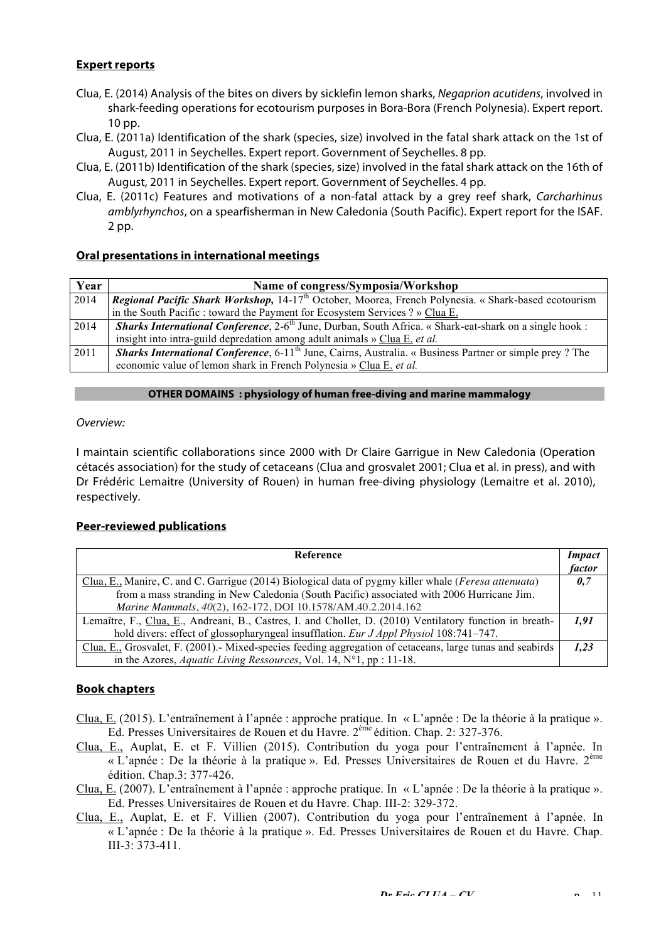## **Expert reports**

- Clua, E. (2014) Analysis of the bites on divers by sicklefin lemon sharks, *Negaprion acutidens*, involved in shark-feeding operations for ecotourism purposes in Bora-Bora (French Polynesia). Expert report. 10 pp.
- Clua, E. (2011a) Identification of the shark (species, size) involved in the fatal shark attack on the 1st of August, 2011 in Seychelles. Expert report. Government of Seychelles. 8 pp.
- Clua, E. (2011b) Identification of the shark (species, size) involved in the fatal shark attack on the 16th of August, 2011 in Seychelles. Expert report. Government of Seychelles. 4 pp.
- Clua, E. (2011c) Features and motivations of a non-fatal attack by a grey reef shark, *Carcharhinus amblyrhynchos*, on a spearfisherman in New Caledonia (South Pacific). Expert report for the ISAF. 2 pp.

## **Oral presentations in international meetings**

| Year | Name of congress/Symposia/Workshop                                                                                          |
|------|-----------------------------------------------------------------------------------------------------------------------------|
| 2014 | Regional Pacific Shark Workshop, 14-17 <sup>th</sup> October, Moorea, French Polynesia. « Shark-based ecotourism            |
|      | in the South Pacific: toward the Payment for Ecosystem Services ? » Clua E.                                                 |
| 2014 | <b>Sharks International Conference</b> , 2-6 <sup>th</sup> June, Durban, South Africa. « Shark-eat-shark on a single hook : |
|      | insight into intra-guild depredation among adult animals » Clua E. et al.                                                   |
| 2011 | <b>Sharks International Conference, 6-11<sup>th</sup> June, Cairns, Australia. « Business Partner or simple prey? The</b>   |
|      | economic value of lemon shark in French Polynesia » Clua E. et al.                                                          |

#### **OTHER DOMAINS : physiology of human free-diving and marine mammalogy**

#### *Overview:*

I maintain scientific collaborations since 2000 with Dr Claire Garrigue in New Caledonia (Operation cétacés association) for the study of cetaceans (Clua and grosvalet 2001; Clua et al. in press), and with Dr Frédéric Lemaitre (University of Rouen) in human free-diving physiology (Lemaitre et al. 2010), respectively.

#### **Peer-reviewed publications**

| <b>Reference</b>                                                                                              | <i>Impact</i> |
|---------------------------------------------------------------------------------------------------------------|---------------|
|                                                                                                               | factor        |
| Clua, E., Manire, C. and C. Garrigue (2014) Biological data of pygmy killer whale ( <i>Feresa attenuata</i> ) | 0.7           |
| from a mass stranding in New Caledonia (South Pacific) associated with 2006 Hurricane Jim.                    |               |
| Marine Mammals, 40(2), 162-172, DOI 10.1578/AM.40.2.2014.162                                                  |               |
| Lemaître, F., Clua, E., Andreani, B., Castres, I. and Chollet, D. (2010) Ventilatory function in breath-      | 1.91          |
| hold divers: effect of glossopharyngeal insufflation. Eur J Appl Physiol 108:741-747.                         |               |
| Clua, E., Grosvalet, F. (2001). Mixed-species feeding aggregation of cetaceans, large tunas and seabirds      | 1.23          |
| in the Azores, <i>Aquatic Living Ressources</i> , Vol. 14, $N^{\circ}1$ , pp : 11-18.                         |               |

#### **Book chapters**

- Clua, E. (2015). L'entraînement à l'apnée : approche pratique. In « L'apnée : De la théorie à la pratique ». Ed. Presses Universitaires de Rouen et du Havre. 2ème édition. Chap. 2: 327-376.
- Clua, E., Auplat, E. et F. Villien (2015). Contribution du yoga pour l'entraînement à l'apnée. In « L'apnée : De la théorie à la pratique ». Ed. Presses Universitaires de Rouen et du Havre. 2ème édition. Chap.3: 377-426.
- Clua, E. (2007). L'entraînement à l'apnée : approche pratique. In « L'apnée : De la théorie à la pratique ». Ed. Presses Universitaires de Rouen et du Havre. Chap. III-2: 329-372.
- Clua, E., Auplat, E. et F. Villien (2007). Contribution du yoga pour l'entraînement à l'apnée. In « L'apnée : De la théorie à la pratique ». Ed. Presses Universitaires de Rouen et du Havre. Chap. III-3: 373-411.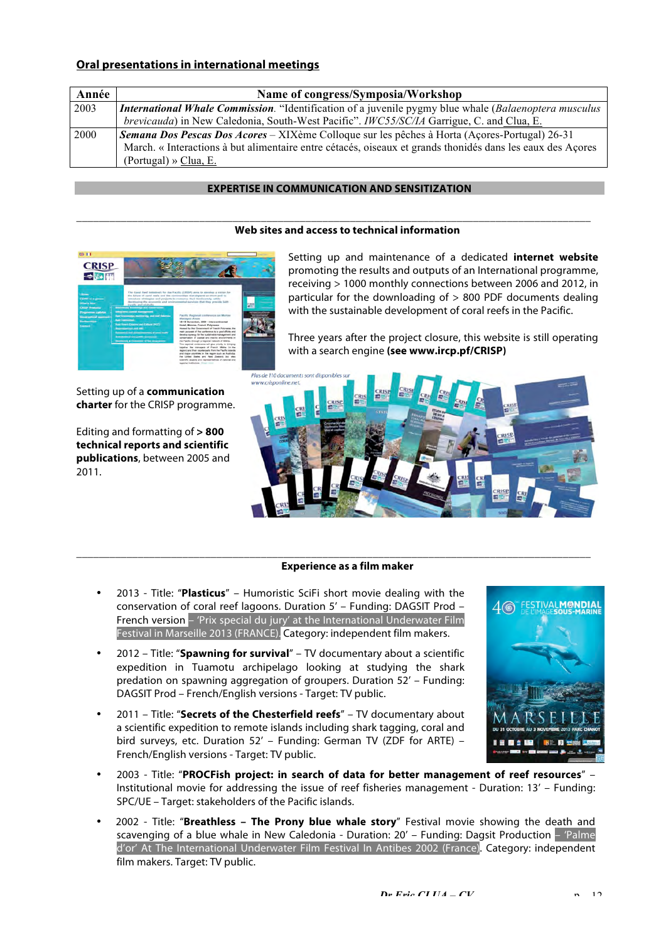## **Oral presentations in international meetings**

| Année | Name of congress/Symposia/Workshop                                                                            |
|-------|---------------------------------------------------------------------------------------------------------------|
| 2003  | <b>International Whale Commission</b> . "Identification of a juvenile pygmy blue whale (Balaenoptera musculus |
|       | <i>brevicauda</i> ) in New Caledonia, South-West Pacific". <i>IWC55/SC/IA</i> Garrigue, C. and Clua, E.       |
| 2000  | Semana Dos Pescas Dos Acores – XIXème Colloque sur les pêches à Horta (Açores-Portugal) 26-31                 |
|       | March. « Interactions à but alimentaire entre cétacés, oiseaux et grands thonidés dans les eaux des Açores    |
|       | (Portugal) » Clua, E.                                                                                         |

#### **EXPERTISE IN COMMUNICATION AND SENSITIZATION**

\_\_\_\_\_\_\_\_\_\_\_\_\_\_\_\_\_\_\_\_\_\_\_\_\_\_\_\_\_\_\_\_\_\_\_\_\_\_\_\_\_\_\_\_\_\_\_\_\_\_\_\_\_\_\_\_\_\_\_\_\_\_\_\_\_\_\_\_\_\_\_\_\_\_\_\_\_\_\_\_\_\_\_\_\_\_\_\_\_\_\_\_

#### **Web sites and access to technical information**



Setting up of a **communication charter** for the CRISP programme.

Editing and formatting of **> 800 technical reports and scientific publications**, between 2005 and 2011.

Setting up and maintenance of a dedicated **internet website** promoting the results and outputs of an International programme, receiving > 1000 monthly connections between 2006 and 2012, in particular for the downloading of > 800 PDF documents dealing with the sustainable development of coral reefs in the Pacific.

Three years after the project closure, this website is still operating with a search engine **(see www.ircp.pf/CRISP)**



#### **Experience as a film maker**

\_\_\_\_\_\_\_\_\_\_\_\_\_\_\_\_\_\_\_\_\_\_\_\_\_\_\_\_\_\_\_\_\_\_\_\_\_\_\_\_\_\_\_\_\_\_\_\_\_\_\_\_\_\_\_\_\_\_\_\_\_\_\_\_\_\_\_\_\_\_\_\_\_\_\_\_\_\_\_\_\_\_\_\_\_\_\_\_\_\_\_\_

- 2013 Title: "**Plasticus**" Humoristic SciFi short movie dealing with the conservation of coral reef lagoons. Duration 5' – Funding: DAGSIT Prod – French version - 'Prix special du jury' at the International Underwater Film Festival in Marseille 2013 (FRANCE). Category: independent film makers.
- 2012 Title: "**Spawning for survival**" TV documentary about a scientific expedition in Tuamotu archipelago looking at studying the shark predation on spawning aggregation of groupers. Duration 52' – Funding: DAGSIT Prod – French/English versions - Target: TV public.
- 2011 Title: "**Secrets of the Chesterfield reefs**" TV documentary about a scientific expedition to remote islands including shark tagging, coral and bird surveys, etc. Duration 52' – Funding: German TV (ZDF for ARTE) – French/English versions - Target: TV public.



- 2003 Title: "**PROCFish project: in search of data for better management of reef resources**" Institutional movie for addressing the issue of reef fisheries management - Duration: 13' – Funding: SPC/UE – Target: stakeholders of the Pacific islands.
- 2002 Title: "**Breathless The Prony blue whale story**" Festival movie showing the death and scavenging of a blue whale in New Caledonia - Duration: 20' – Funding: Dagsit Production – 'Palme d'or' At The International Underwater Film Festival In Antibes 2002 (France). Category: independent film makers. Target: TV public.